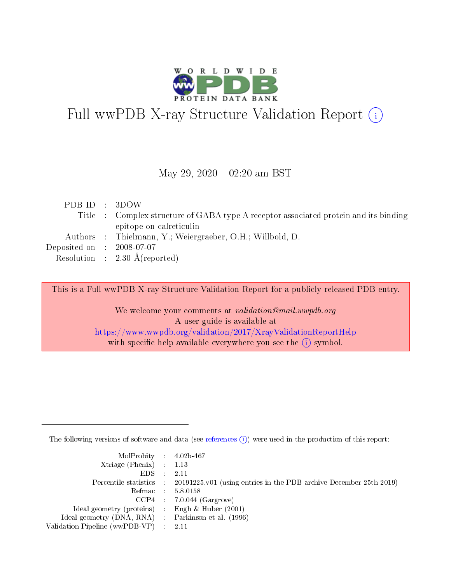

# Full wwPDB X-ray Structure Validation Report (i)

#### May 29,  $2020 - 02:20$  am BST

| PDB ID : 3DOW                                                                        |  |
|--------------------------------------------------------------------------------------|--|
| Title : Complex structure of GABA type A receptor associated protein and its binding |  |
| epitope on calreticulin                                                              |  |
| Authors : Thielmann, Y.; Weiergraeber, O.H.; Willbold, D.                            |  |
| Deposited on $\therefore$ 2008-07-07                                                 |  |
| Resolution : $2.30 \text{ Å}$ (reported)                                             |  |

This is a Full wwPDB X-ray Structure Validation Report for a publicly released PDB entry.

We welcome your comments at validation@mail.wwpdb.org A user guide is available at <https://www.wwpdb.org/validation/2017/XrayValidationReportHelp> with specific help available everywhere you see the  $(i)$  symbol.

The following versions of software and data (see [references](https://www.wwpdb.org/validation/2017/XrayValidationReportHelp#references)  $(i)$ ) were used in the production of this report:

| MolProbity : 4.02b-467                              |                                                                                            |
|-----------------------------------------------------|--------------------------------------------------------------------------------------------|
| $Xtriangle (Phenix)$ : 1.13                         |                                                                                            |
| $EDS = 2.11$                                        |                                                                                            |
|                                                     | Percentile statistics : 20191225.v01 (using entries in the PDB archive December 25th 2019) |
|                                                     | Refmac : 5.8.0158                                                                          |
|                                                     | $CCP4$ : 7.0.044 (Gargrove)                                                                |
| Ideal geometry (proteins) : Engh $\&$ Huber (2001)  |                                                                                            |
| Ideal geometry (DNA, RNA) : Parkinson et al. (1996) |                                                                                            |
| Validation Pipeline (wwPDB-VP) : 2.11               |                                                                                            |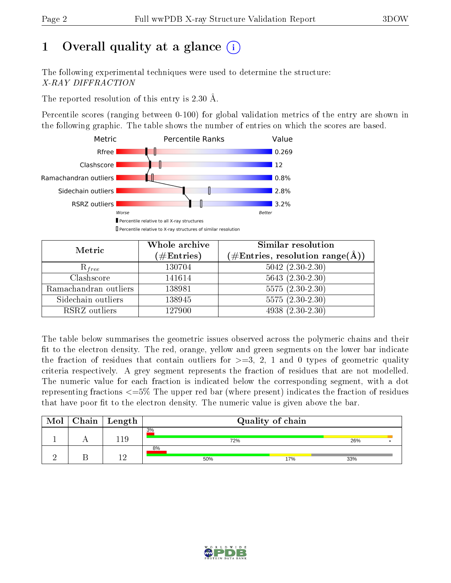# 1 [O](https://www.wwpdb.org/validation/2017/XrayValidationReportHelp#overall_quality)verall quality at a glance  $(i)$

The following experimental techniques were used to determine the structure: X-RAY DIFFRACTION

The reported resolution of this entry is 2.30 Å.

Percentile scores (ranging between 0-100) for global validation metrics of the entry are shown in the following graphic. The table shows the number of entries on which the scores are based.



| Metric                | Whole archive<br>$(\#\text{Entries})$ | Similar resolution<br>$(\#\text{Entries},\,\text{resolution}\,\,\text{range}(\textup{\AA}))$ |  |  |
|-----------------------|---------------------------------------|----------------------------------------------------------------------------------------------|--|--|
| $R_{free}$            | 130704                                | $5042$ $(2.30-2.30)$                                                                         |  |  |
| Clashscore            | 141614                                | $5643(2.30-2.30)$                                                                            |  |  |
| Ramachandran outliers | 138981                                | $5575(2.30-2.30)$                                                                            |  |  |
| Sidechain outliers    | 138945                                | $5575(2.30-2.30)$                                                                            |  |  |
| RSRZ outliers         | 127900                                | $4938(2.30-2.30)$                                                                            |  |  |

The table below summarises the geometric issues observed across the polymeric chains and their fit to the electron density. The red, orange, yellow and green segments on the lower bar indicate the fraction of residues that contain outliers for  $>=3, 2, 1$  and 0 types of geometric quality criteria respectively. A grey segment represents the fraction of residues that are not modelled. The numeric value for each fraction is indicated below the corresponding segment, with a dot representing fractions  $\epsilon=5\%$  The upper red bar (where present) indicates the fraction of residues that have poor fit to the electron density. The numeric value is given above the bar.

| Mol | $Chain \  Length$ | Quality of chain |     |     |  |  |
|-----|-------------------|------------------|-----|-----|--|--|
|     | 119               | 3%<br>72%        |     | 26% |  |  |
|     |                   | 8%<br>50%        | 17% | 33% |  |  |

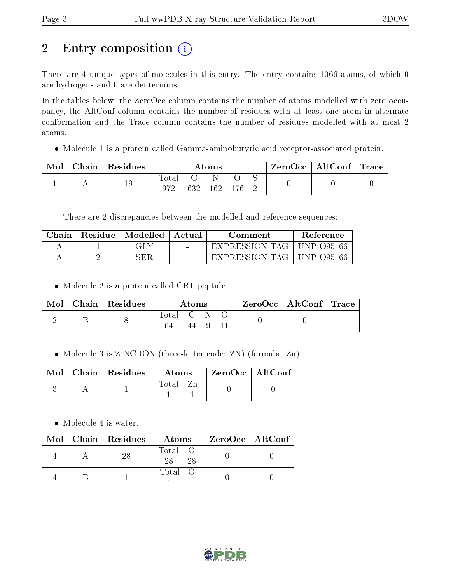# 2 Entry composition (i)

There are 4 unique types of molecules in this entry. The entry contains 1066 atoms, of which 0 are hydrogens and 0 are deuteriums.

In the tables below, the ZeroOcc column contains the number of atoms modelled with zero occupancy, the AltConf column contains the number of residues with at least one atom in alternate conformation and the Trace column contains the number of residues modelled with at most 2 atoms.

Molecule 1 is a protein called Gamma-aminobutyric acid receptor-associated protein.

| Mol | ${\rm Chain}\parallel {\rm Residues}\parallel$ | Atoms |     |     |       |  | ZeroOcc   AltConf   Trace |  |
|-----|------------------------------------------------|-------|-----|-----|-------|--|---------------------------|--|
|     | 119                                            | lotal | 632 | 162 | - 176 |  |                           |  |

There are 2 discrepancies between the modelled and reference sequences:

| Chain | Residue   Modelled | Actual | Comment        | Reference                   |
|-------|--------------------|--------|----------------|-----------------------------|
|       | GLY                | $\sim$ | EXPRESSION TAG | $\overline{\rm UNP}$ 095166 |
|       | SER                | $\sim$ | EXPRESSION TAG | UNP 095166                  |

• Molecule 2 is a protein called CRT peptide.

| Mol | Chain   Residues | Atoms   |  |  | ZeroOcc   AltConf   Trace |  |
|-----|------------------|---------|--|--|---------------------------|--|
|     |                  | Total C |  |  |                           |  |

• Molecule 3 is ZINC ION (three-letter code: ZN) (formula: Zn).

|  | $\text{Mol}$   Chain   Residues | <b>Atoms</b> | $ZeroOcc$   AltConf |
|--|---------------------------------|--------------|---------------------|
|  |                                 | Total        |                     |

• Molecule 4 is water.

|  | Mol   Chain   Residues | Atoms               | ZeroOcc   AltConf |
|--|------------------------|---------------------|-------------------|
|  |                        | Total O<br>28<br>28 |                   |
|  |                        | Total O             |                   |

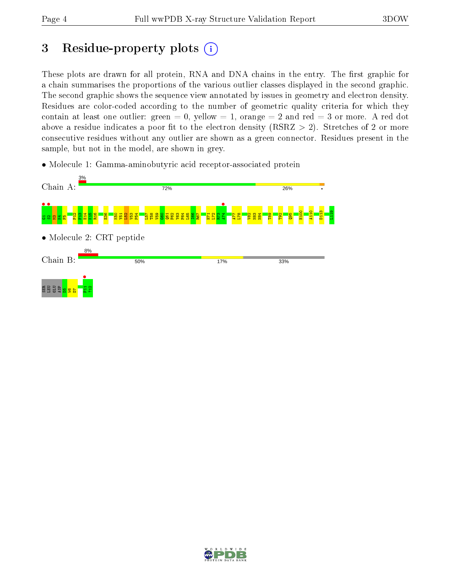## 3 Residue-property plots  $(i)$

These plots are drawn for all protein, RNA and DNA chains in the entry. The first graphic for a chain summarises the proportions of the various outlier classes displayed in the second graphic. The second graphic shows the sequence view annotated by issues in geometry and electron density. Residues are color-coded according to the number of geometric quality criteria for which they contain at least one outlier: green  $= 0$ , yellow  $= 1$ , orange  $= 2$  and red  $= 3$  or more. A red dot above a residue indicates a poor fit to the electron density (RSRZ  $> 2$ ). Stretches of 2 or more consecutive residues without any outlier are shown as a green connector. Residues present in the sample, but not in the model, are shown in grey.

• Molecule 1: Gamma-aminobutyric acid receptor-associated protein



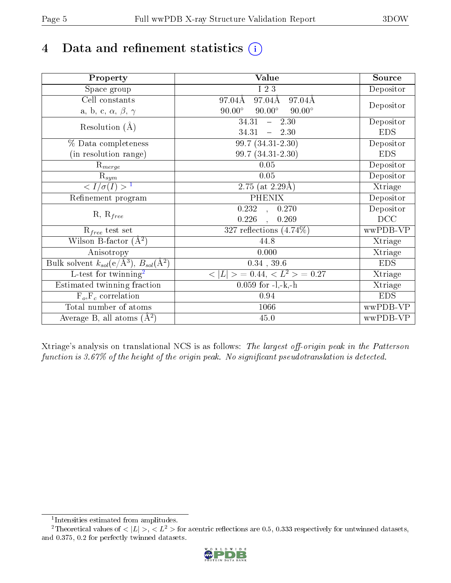# 4 Data and refinement statistics  $(i)$

| Property                                                             | Value                                           | Source     |
|----------------------------------------------------------------------|-------------------------------------------------|------------|
| Space group                                                          | I 2 3                                           | Depositor  |
| Cell constants                                                       | 97.04Å<br>$97.04\text{\AA}$<br>97.04Å           |            |
| a, b, c, $\alpha$ , $\beta$ , $\gamma$                               | $90.00^\circ$<br>$90.00^\circ$<br>$90.00^\circ$ | Depositor  |
| Resolution $(A)$                                                     | 34.31<br>$-2.30$                                | Depositor  |
|                                                                      | 34.31<br>$-2.30$                                | <b>EDS</b> |
| % Data completeness                                                  | 99.7 (34.31-2.30)                               | Depositor  |
| (in resolution range)                                                | 99.7 (34.31-2.30)                               | <b>EDS</b> |
| $R_{merge}$                                                          | 0.05                                            | Depositor  |
| $\mathrm{R}_{sym}$                                                   | 0.05                                            | Depositor  |
| $\langle I/\sigma(I) \rangle^{-1}$                                   | $\overline{2.75}$ (at 2.29Å)                    | Xtriage    |
| Refinement program                                                   | <b>PHENIX</b>                                   | Depositor  |
|                                                                      | 0.232<br>0.270<br>$\mathbf{A}$                  | Depositor  |
| $R, R_{free}$                                                        | 0.226<br>0.269                                  | DCC        |
| $R_{free}$ test set                                                  | 327 reflections $(4.74\%)$                      | wwPDB-VP   |
| Wilson B-factor $(A^2)$                                              | 44.8                                            | Xtriage    |
| Anisotropy                                                           | 0.000                                           | Xtriage    |
| Bulk solvent $k_{sol}(e/\mathring{A}^3)$ , $B_{sol}(\mathring{A}^2)$ | $0.34$ , 39.6                                   | <b>EDS</b> |
| L-test for twinning <sup>2</sup>                                     | $>$ = 0.44, < $L^2$ > = 0.27<br>< L             | Xtriage    |
| Estimated twinning fraction                                          | $0.059$ for $-l,-k,-h$                          | Xtriage    |
| $F_o, F_c$ correlation                                               | 0.94                                            | <b>EDS</b> |
| Total number of atoms                                                | 1066                                            | wwPDB-VP   |
| Average B, all atoms $(A^2)$                                         | $45.0\,$                                        | wwPDB-VP   |

Xtriage's analysis on translational NCS is as follows: The largest off-origin peak in the Patterson function is  $3.67\%$  of the height of the origin peak. No significant pseudotranslation is detected.

<sup>&</sup>lt;sup>2</sup>Theoretical values of  $\langle |L| \rangle$ ,  $\langle L^2 \rangle$  for acentric reflections are 0.5, 0.333 respectively for untwinned datasets, and 0.375, 0.2 for perfectly twinned datasets.



<span id="page-4-1"></span><span id="page-4-0"></span><sup>1</sup> Intensities estimated from amplitudes.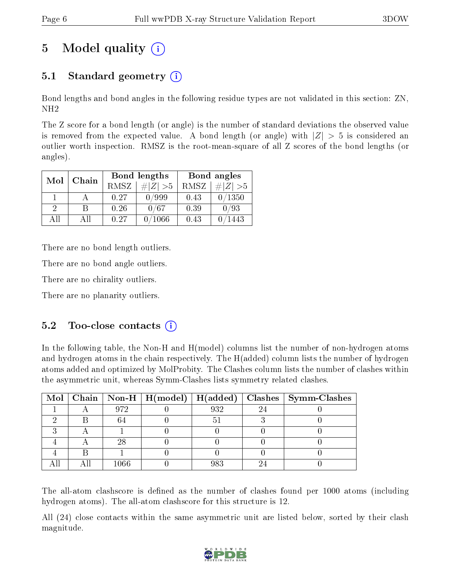# 5 Model quality  $(i)$

## 5.1 Standard geometry  $(i)$

Bond lengths and bond angles in the following residue types are not validated in this section: ZN, NH2

The Z score for a bond length (or angle) is the number of standard deviations the observed value is removed from the expected value. A bond length (or angle) with  $|Z| > 5$  is considered an outlier worth inspection. RMSZ is the root-mean-square of all Z scores of the bond lengths (or angles).

| Mol | Chain |      | Bond lengths | Bond angles |             |  |
|-----|-------|------|--------------|-------------|-------------|--|
|     |       | RMSZ | $\# Z  > 5$  | RMSZ        | $\ Z\  > 5$ |  |
|     |       | 0.27 | /999         | 0.43        | /1350       |  |
| 9   |       | 0.26 | 0/67         | 0.39        | 0/93        |  |
|     | AΠ    | 0.27 | 1066         | 0.43        | 443         |  |

There are no bond length outliers.

There are no bond angle outliers.

There are no chirality outliers.

There are no planarity outliers.

### $5.2$  Too-close contacts  $(i)$

In the following table, the Non-H and H(model) columns list the number of non-hydrogen atoms and hydrogen atoms in the chain respectively. The H(added) column lists the number of hydrogen atoms added and optimized by MolProbity. The Clashes column lists the number of clashes within the asymmetric unit, whereas Symm-Clashes lists symmetry related clashes.

|  |      |     | Mol   Chain   Non-H   H(model)   H(added)   Clashes   Symm-Clashes |
|--|------|-----|--------------------------------------------------------------------|
|  | 972  | 932 |                                                                    |
|  |      |     |                                                                    |
|  |      |     |                                                                    |
|  | 28   |     |                                                                    |
|  |      |     |                                                                    |
|  | 1066 | 983 |                                                                    |

The all-atom clashscore is defined as the number of clashes found per 1000 atoms (including hydrogen atoms). The all-atom clashscore for this structure is 12.

All (24) close contacts within the same asymmetric unit are listed below, sorted by their clash magnitude.

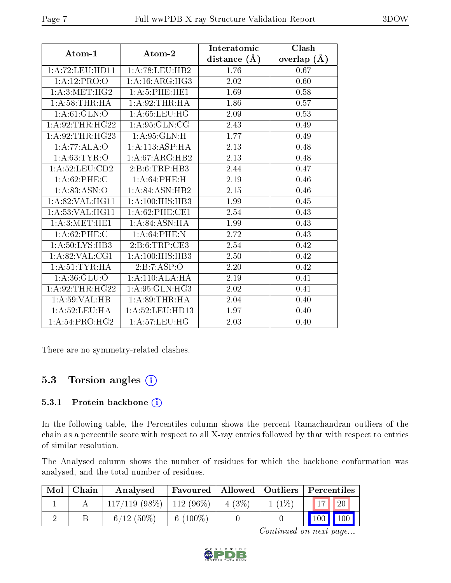| Atom-1             | Atom-2                     | Interatomic    | Clash              |
|--------------------|----------------------------|----------------|--------------------|
|                    |                            | distance $(A)$ | $(\AA)$<br>overlap |
| 1:A:72:LEU:HD11    | 1: A:78:LEU:HB2            | 1.76           | 0.67               |
| 1:A:12:PRO:O       | 1: A:16: ARG:HG3           | 2.02           | 0.60               |
| 1: A:3: MET:HG2    | 1:A:5:PHE:HE1              | 1.69           | 0.58               |
| 1: A:58:THR:HA     | 1:A:92:THR:HA              | 1.86           | 0.57               |
| 1: A:61: GLN:O     | 1: A:65:LEU:HG             | 2.09           | 0.53               |
| 1:A:92:THR:HG22    | 1: A:95: GLN:CG            | 2.43           | 0.49               |
| 1: A:92:THR:HG23   | 1: A.95: GLN:H             | 1.77           | 0.49               |
| 1:A:77:ALA:O       | 1:A:113:ASP:HA             | 2.13           | 0.48               |
| 1: A:63:TYR:O      | 1: A:67: ARG: HB2          | 2.13           | 0.48               |
| 1:A:52:LEU:CD2     | 2: B: 6: TRP: HB3          | 2.44           | 0.47               |
| 1:A:62:PHE:C       | 1: A:64:PHE:H              | 2.19           | 0.46               |
| 1:A:83:ASN:O       | 1: A:84: ASN:HB2           | 2.15           | 0.46               |
| 1: A:82: VAL: HG11 | 1:A:100:HIS:HB3            | 1.99           | 0.45               |
| 1: A:53: VAL: HG11 | $1: A:62:$ PHE:CE1         | 2.54           | 0.43               |
| 1: A:3:MET:HE1     | $1:A:84:ASN:\overline{HA}$ | 1.99           | 0.43               |
| 1:A:62:PHE:C       | 1: A:64:PHE:N              | 2.72           | 0.43               |
| 1:A:50:LYS:HB3     | 2: B:6: TRP:CE3            | 2.54           | 0.42               |
| 1: A:82:VAL:CG1    | 1:A:100:HIS:HB3            | 2.50           | 0.42               |
| 1: A:51:TYR:HA     | 2:B:7:ASP:O                | 2.20           | 0.42               |
| 1: A:36: GLU:O     | 1:A:110:ALA:HA             | 2.19           | 0.41               |
| 1: A:92:THR:HG22   | 1: A:95: GLN:HG3           | 2.02           | 0.41               |
| 1:A:59:VAL:HB      | 1: A:89:THR:HA             | 2.04           | 0.40               |
| 1: A:52:LEU:HA     | 1: A:52:LEU:HD13           | 1.97           | 0.40               |
| 1:A:54:PRO:HG2     | 1: A:57:LEU:HG             | 2.03           | 0.40               |

There are no symmetry-related clashes.

## 5.3 Torsion angles (i)

#### 5.3.1 Protein backbone (i)

In the following table, the Percentiles column shows the percent Ramachandran outliers of the chain as a percentile score with respect to all X-ray entries followed by that with respect to entries of similar resolution.

The Analysed column shows the number of residues for which the backbone conformation was analysed, and the total number of residues.

| Mol | Chain | Analysed                      |             |          |          | Favoured   Allowed   Outliers   Percentiles |
|-----|-------|-------------------------------|-------------|----------|----------|---------------------------------------------|
|     |       | $117/119$ (98\%)   112 (96\%) |             | $4(3\%)$ | $1(1\%)$ | 20                                          |
|     |       | $6/12(50\%)$                  | 6 $(100\%)$ |          |          | $100 \mid$<br>$\blacksquare$ 100            |

Continued on next page...

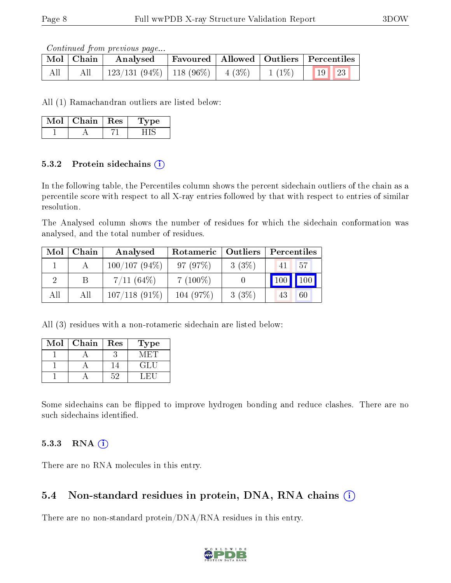Continued from previous page...

|       | Mol Chain | $\boldsymbol{\mathrm{Analysed}}$   |  | $\mid$ Favoured $\mid$ Allowed $\mid$ Outliers $\mid$ Percentiles |  |
|-------|-----------|------------------------------------|--|-------------------------------------------------------------------|--|
| - All |           | 123/131 (94%)   118 (96%)   4 (3%) |  | $1(1\%)$ 19 23                                                    |  |

All (1) Ramachandran outliers are listed below:

| Mol | Chain | Res | vpe |
|-----|-------|-----|-----|
|     |       |     |     |

#### 5.3.2 Protein sidechains  $(i)$

In the following table, the Percentiles column shows the percent sidechain outliers of the chain as a percentile score with respect to all X-ray entries followed by that with respect to entries of similar resolution.

The Analysed column shows the number of residues for which the sidechain conformation was analysed, and the total number of residues.

| Mol | Chain | Analysed        | $\mid$ Outliers<br>Rotameric |       | Percentiles |     |
|-----|-------|-----------------|------------------------------|-------|-------------|-----|
|     |       | $100/107(94\%)$ | 97(97%)                      | 3(3%) | 41          | 57  |
|     |       | $7/11~(64\%)$   | $7(100\%)$                   |       | 100         | 100 |
| All | Αll   | $107/118(91\%)$ | 104(97%)                     | 3(3%) | 43          | 60  |

All (3) residues with a non-rotameric sidechain are listed below:

| Mol | Chain | Res  | Type |
|-----|-------|------|------|
|     |       |      |      |
|     |       |      | GH.  |
|     |       | -52. |      |

Some sidechains can be flipped to improve hydrogen bonding and reduce clashes. There are no such sidechains identified.

### 5.3.3 RNA [O](https://www.wwpdb.org/validation/2017/XrayValidationReportHelp#rna)i

There are no RNA molecules in this entry.

### 5.4 Non-standard residues in protein, DNA, RNA chains (i)

There are no non-standard protein/DNA/RNA residues in this entry.

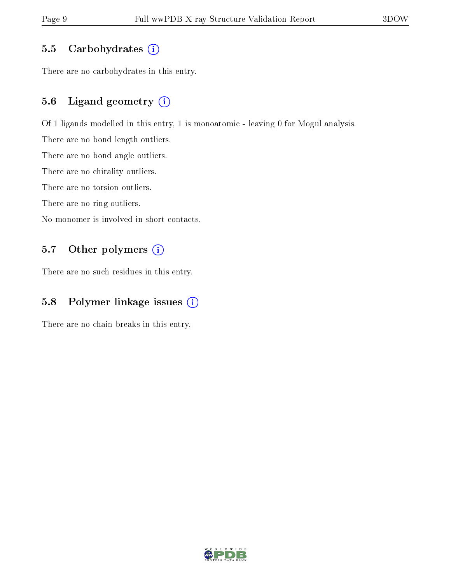#### 5.5 Carbohydrates  $(i)$

There are no carbohydrates in this entry.

### 5.6 Ligand geometry (i)

Of 1 ligands modelled in this entry, 1 is monoatomic - leaving 0 for Mogul analysis.

There are no bond length outliers.

There are no bond angle outliers.

There are no chirality outliers.

There are no torsion outliers.

There are no ring outliers.

No monomer is involved in short contacts.

### 5.7 [O](https://www.wwpdb.org/validation/2017/XrayValidationReportHelp#nonstandard_residues_and_ligands)ther polymers (i)

There are no such residues in this entry.

#### 5.8 Polymer linkage issues  $(i)$

There are no chain breaks in this entry.

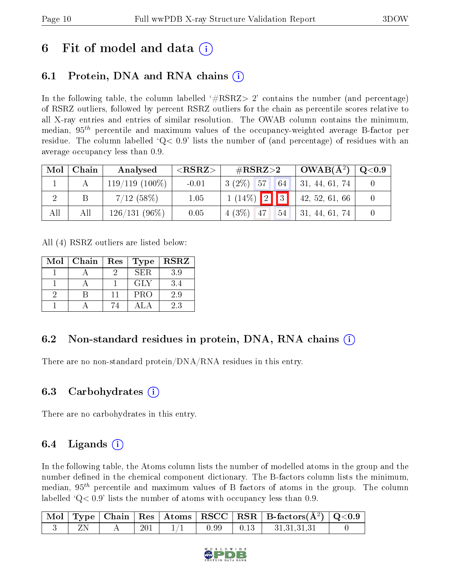## 6 Fit of model and data  $\left( \cdot \right)$

## 6.1 Protein, DNA and RNA chains (i)

In the following table, the column labelled  $#RSRZ>2'$  contains the number (and percentage) of RSRZ outliers, followed by percent RSRZ outliers for the chain as percentile scores relative to all X-ray entries and entries of similar resolution. The OWAB column contains the minimum, median,  $95<sup>th</sup>$  percentile and maximum values of the occupancy-weighted average B-factor per residue. The column labelled  $Q< 0.9$  lists the number of (and percentage) of residues with an average occupancy less than 0.9.

| Mol | Chain | Analysed         | ${ <\hspace{-1.5pt}{\mathrm{RSRZ}} \hspace{-1.5pt}>}$ | $\#\text{RSRZ}{>}2$        | $\mid$ OWAB( $A^2$ ) $\mid$ | $\,$ Q $<$ 0.9 $\,$ |
|-----|-------|------------------|-------------------------------------------------------|----------------------------|-----------------------------|---------------------|
|     |       | $119/119(100\%)$ | $-0.01$                                               | $3(2\%)$ 57<br>$\sqrt{64}$ | 31, 44, 61, 74              |                     |
|     |       | 7/12(58%)        | 1.05                                                  | $1(14\%)$ 2 3              | 42, 52, 61, 66              |                     |
| All | All   | $126/131(96\%)$  | 0.05                                                  | $4(3\%)$ 47<br> 54         | 31, 44, 61, 74              |                     |

All (4) RSRZ outliers are listed below:

| Mol | Chain | $\operatorname{Res}% \left( \mathcal{N}\right) \equiv\operatorname*{Res}\left( \mathcal{N}\right)$ | $_{\rm Type}$ | <b>RSRZ</b> |
|-----|-------|----------------------------------------------------------------------------------------------------|---------------|-------------|
|     |       |                                                                                                    | SER.          | 3.9         |
|     |       |                                                                                                    | <b>GLY</b>    | 3.4         |
|     |       | 11                                                                                                 | <b>PRO</b>    | 2.9         |
|     |       | 74                                                                                                 | AT.           | 2.3         |

## 6.2 Non-standard residues in protein, DNA, RNA chains (i)

There are no non-standard protein/DNA/RNA residues in this entry.

### 6.3 Carbohydrates (i)

There are no carbohydrates in this entry.

## $6.4$  Ligands  $(i)$

In the following table, the Atoms column lists the number of modelled atoms in the group and the number defined in the chemical component dictionary. The B-factors column lists the minimum, median,  $95<sup>th</sup>$  percentile and maximum values of B factors of atoms in the group. The column labelled  $Q< 0.9$  lists the number of atoms with occupancy less than 0.9.

|  |     |                   | $\begin{array}{ c c c c c c }\hline \text{Mol} & \text{Type} & \text{Chain} & \text{Res} & \text{Atoms} & \text{RSCC} & \text{RSR} & \text{B-factors}(\AA^2) & \text{Q}<\!\!0.9 \\\hline \end{array}$ |  |
|--|-----|-------------------|-------------------------------------------------------------------------------------------------------------------------------------------------------------------------------------------------------|--|
|  | 201 | 0.99 <sub>1</sub> | 31,31,31,31                                                                                                                                                                                           |  |